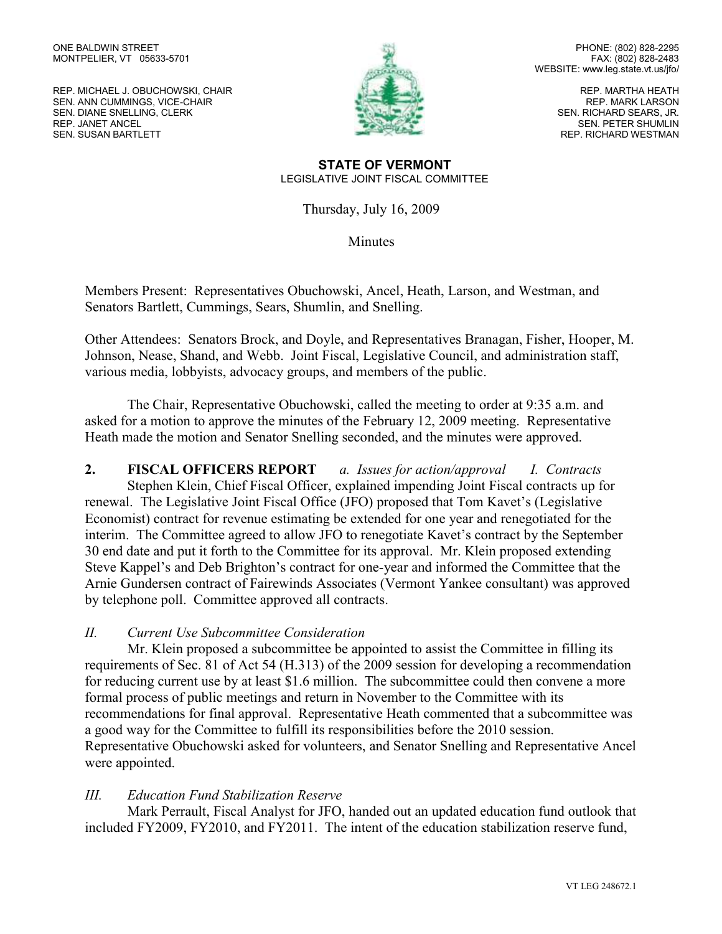REP. MICHAEL J. OBUCHOWSKI, CHAIR SEN. ANN CUMMINGS, VICE-CHAIR SEN. DIANE SNELLING, CLERK REP. JANET ANCEL SEN. SUSAN BARTLETT



PHONE: (802) 828-2295 FAX: (802) 828-2483 WEBSITE: www.leg.state.vt.us/jfo/

> REP. MARTHA HEATH REP. MARK LARSON SEN. RICHARD SEARS, JR. SEN. PETER SHUMLIN REP. RICHARD WESTMAN

#### **STATE OF VERMONT** LEGISLATIVE JOINT FISCAL COMMITTEE

Thursday, July 16, 2009

**Minutes** 

Members Present: Representatives Obuchowski, Ancel, Heath, Larson, and Westman, and Senators Bartlett, Cummings, Sears, Shumlin, and Snelling.

Other Attendees: Senators Brock, and Doyle, and Representatives Branagan, Fisher, Hooper, M. Johnson, Nease, Shand, and Webb. Joint Fiscal, Legislative Council, and administration staff, various media, lobbyists, advocacy groups, and members of the public.

The Chair, Representative Obuchowski, called the meeting to order at 9:35 a.m. and asked for a motion to approve the minutes of the February 12, 2009 meeting. Representative Heath made the motion and Senator Snelling seconded, and the minutes were approved.

**2. FISCAL OFFICERS REPORT** *a. Issues for action/approval I. Contracts* Stephen Klein, Chief Fiscal Officer, explained impending Joint Fiscal contracts up for renewal. The Legislative Joint Fiscal Office (JFO) proposed that Tom Kavet's (Legislative Economist) contract for revenue estimating be extended for one year and renegotiated for the interim. The Committee agreed to allow JFO to renegotiate Kavet's contract by the September 30 end date and put it forth to the Committee for its approval. Mr. Klein proposed extending Steve Kappel's and Deb Brighton's contract for one-year and informed the Committee that the Arnie Gundersen contract of Fairewinds Associates (Vermont Yankee consultant) was approved by telephone poll. Committee approved all contracts.

# *II. Current Use Subcommittee Consideration*

Mr. Klein proposed a subcommittee be appointed to assist the Committee in filling its requirements of Sec. 81 of Act 54 (H.313) of the 2009 session for developing a recommendation for reducing current use by at least \$1.6 million. The subcommittee could then convene a more formal process of public meetings and return in November to the Committee with its recommendations for final approval. Representative Heath commented that a subcommittee was a good way for the Committee to fulfill its responsibilities before the 2010 session. Representative Obuchowski asked for volunteers, and Senator Snelling and Representative Ancel were appointed.

# *III. Education Fund Stabilization Reserve*

Mark Perrault, Fiscal Analyst for JFO, handed out an updated education fund outlook that included FY2009, FY2010, and FY2011. The intent of the education stabilization reserve fund,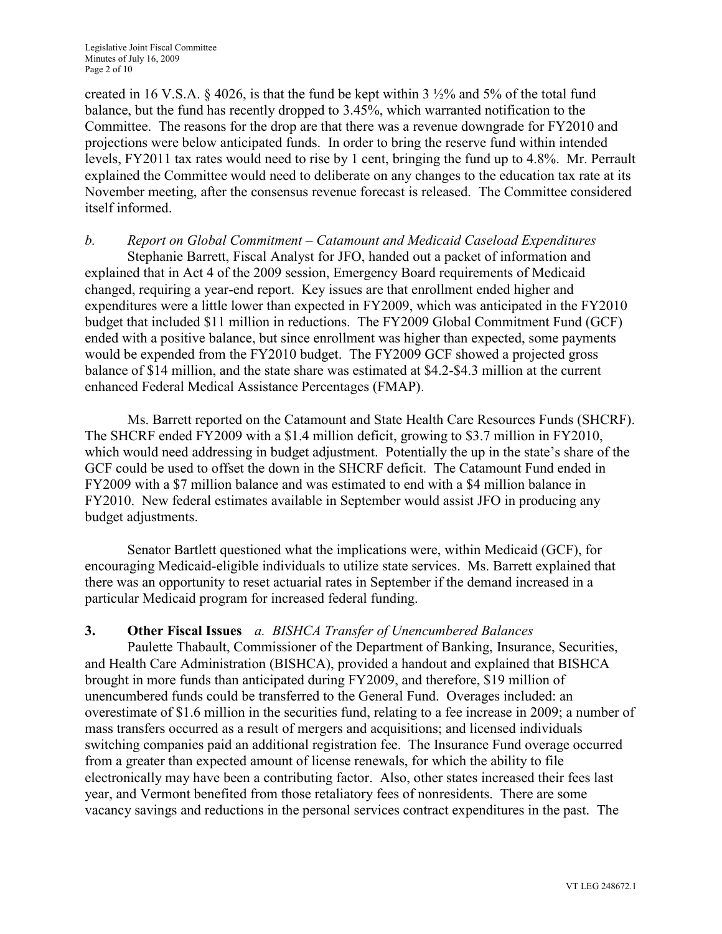created in 16 V.S.A.  $\S$  4026, is that the fund be kept within 3  $\frac{1}{2}\%$  and 5% of the total fund balance, but the fund has recently dropped to 3.45%, which warranted notification to the Committee. The reasons for the drop are that there was a revenue downgrade for FY2010 and projections were below anticipated funds. In order to bring the reserve fund within intended levels, FY2011 tax rates would need to rise by 1 cent, bringing the fund up to 4.8%. Mr. Perrault explained the Committee would need to deliberate on any changes to the education tax rate at its November meeting, after the consensus revenue forecast is released. The Committee considered itself informed.

*b. Report on Global Commitment – Catamount and Medicaid Caseload Expenditures* Stephanie Barrett, Fiscal Analyst for JFO, handed out a packet of information and explained that in Act 4 of the 2009 session, Emergency Board requirements of Medicaid changed, requiring a year-end report. Key issues are that enrollment ended higher and expenditures were a little lower than expected in FY2009, which was anticipated in the FY2010 budget that included \$11 million in reductions. The FY2009 Global Commitment Fund (GCF) ended with a positive balance, but since enrollment was higher than expected, some payments would be expended from the FY2010 budget. The FY2009 GCF showed a projected gross balance of \$14 million, and the state share was estimated at \$4.2-\$4.3 million at the current enhanced Federal Medical Assistance Percentages (FMAP).

Ms. Barrett reported on the Catamount and State Health Care Resources Funds (SHCRF). The SHCRF ended FY2009 with a \$1.4 million deficit, growing to \$3.7 million in FY2010, which would need addressing in budget adjustment. Potentially the up in the state's share of the GCF could be used to offset the down in the SHCRF deficit. The Catamount Fund ended in FY2009 with a \$7 million balance and was estimated to end with a \$4 million balance in FY2010. New federal estimates available in September would assist JFO in producing any budget adjustments.

Senator Bartlett questioned what the implications were, within Medicaid (GCF), for encouraging Medicaid-eligible individuals to utilize state services. Ms. Barrett explained that there was an opportunity to reset actuarial rates in September if the demand increased in a particular Medicaid program for increased federal funding.

# **3. Other Fiscal Issues** *a. BISHCA Transfer of Unencumbered Balances*

Paulette Thabault, Commissioner of the Department of Banking, Insurance, Securities, and Health Care Administration (BISHCA), provided a handout and explained that BISHCA brought in more funds than anticipated during FY2009, and therefore, \$19 million of unencumbered funds could be transferred to the General Fund. Overages included: an overestimate of \$1.6 million in the securities fund, relating to a fee increase in 2009; a number of mass transfers occurred as a result of mergers and acquisitions; and licensed individuals switching companies paid an additional registration fee. The Insurance Fund overage occurred from a greater than expected amount of license renewals, for which the ability to file electronically may have been a contributing factor. Also, other states increased their fees last year, and Vermont benefited from those retaliatory fees of nonresidents. There are some vacancy savings and reductions in the personal services contract expenditures in the past. The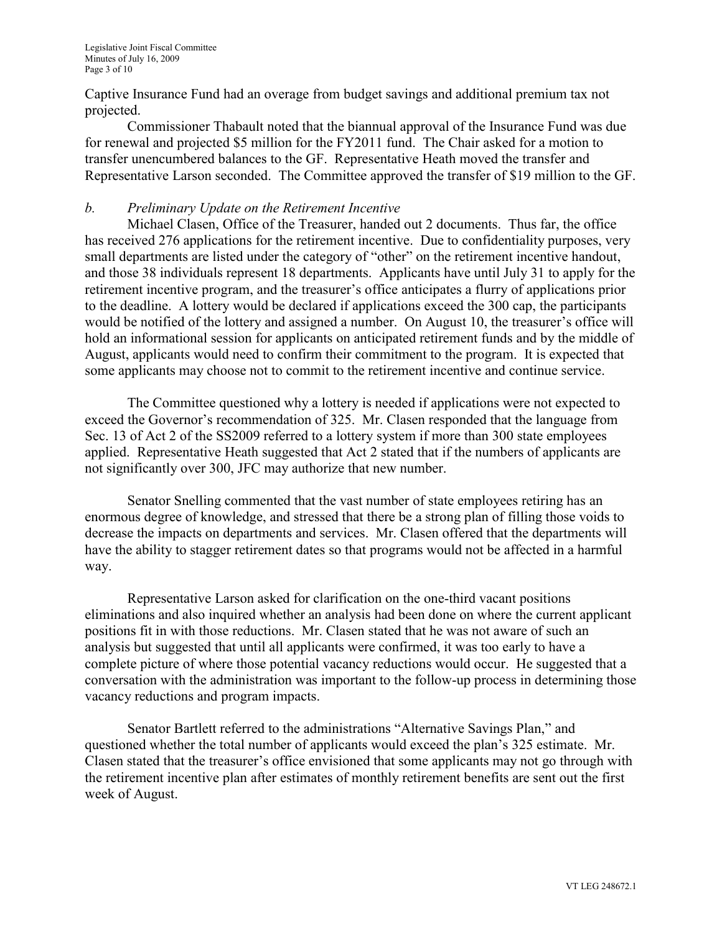Captive Insurance Fund had an overage from budget savings and additional premium tax not projected.

Commissioner Thabault noted that the biannual approval of the Insurance Fund was due for renewal and projected \$5 million for the FY2011 fund. The Chair asked for a motion to transfer unencumbered balances to the GF. Representative Heath moved the transfer and Representative Larson seconded. The Committee approved the transfer of \$19 million to the GF.

## *b. Preliminary Update on the Retirement Incentive*

Michael Clasen, Office of the Treasurer, handed out 2 documents. Thus far, the office has received 276 applications for the retirement incentive. Due to confidentiality purposes, very small departments are listed under the category of "other" on the retirement incentive handout, and those 38 individuals represent 18 departments. Applicants have until July 31 to apply for the retirement incentive program, and the treasurer's office anticipates a flurry of applications prior to the deadline. A lottery would be declared if applications exceed the 300 cap, the participants would be notified of the lottery and assigned a number. On August 10, the treasurer's office will hold an informational session for applicants on anticipated retirement funds and by the middle of August, applicants would need to confirm their commitment to the program. It is expected that some applicants may choose not to commit to the retirement incentive and continue service.

The Committee questioned why a lottery is needed if applications were not expected to exceed the Governor's recommendation of 325. Mr. Clasen responded that the language from Sec. 13 of Act 2 of the SS2009 referred to a lottery system if more than 300 state employees applied. Representative Heath suggested that Act 2 stated that if the numbers of applicants are not significantly over 300, JFC may authorize that new number.

Senator Snelling commented that the vast number of state employees retiring has an enormous degree of knowledge, and stressed that there be a strong plan of filling those voids to decrease the impacts on departments and services. Mr. Clasen offered that the departments will have the ability to stagger retirement dates so that programs would not be affected in a harmful way.

Representative Larson asked for clarification on the one-third vacant positions eliminations and also inquired whether an analysis had been done on where the current applicant positions fit in with those reductions. Mr. Clasen stated that he was not aware of such an analysis but suggested that until all applicants were confirmed, it was too early to have a complete picture of where those potential vacancy reductions would occur. He suggested that a conversation with the administration was important to the follow-up process in determining those vacancy reductions and program impacts.

Senator Bartlett referred to the administrations "Alternative Savings Plan," and questioned whether the total number of applicants would exceed the plan's 325 estimate. Mr. Clasen stated that the treasurer's office envisioned that some applicants may not go through with the retirement incentive plan after estimates of monthly retirement benefits are sent out the first week of August.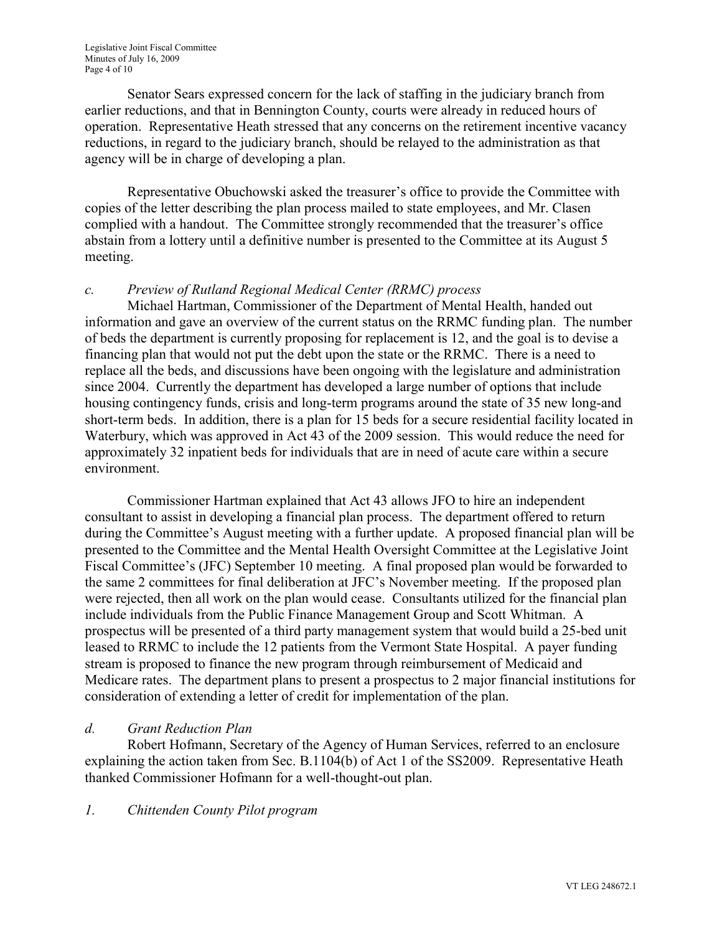Senator Sears expressed concern for the lack of staffing in the judiciary branch from earlier reductions, and that in Bennington County, courts were already in reduced hours of operation. Representative Heath stressed that any concerns on the retirement incentive vacancy reductions, in regard to the judiciary branch, should be relayed to the administration as that agency will be in charge of developing a plan.

Representative Obuchowski asked the treasurer's office to provide the Committee with copies of the letter describing the plan process mailed to state employees, and Mr. Clasen complied with a handout. The Committee strongly recommended that the treasurer's office abstain from a lottery until a definitive number is presented to the Committee at its August 5 meeting.

# *c. Preview of Rutland Regional Medical Center (RRMC) process*

Michael Hartman, Commissioner of the Department of Mental Health, handed out information and gave an overview of the current status on the RRMC funding plan. The number of beds the department is currently proposing for replacement is 12, and the goal is to devise a financing plan that would not put the debt upon the state or the RRMC. There is a need to replace all the beds, and discussions have been ongoing with the legislature and administration since 2004. Currently the department has developed a large number of options that include housing contingency funds, crisis and long-term programs around the state of 35 new long-and short-term beds. In addition, there is a plan for 15 beds for a secure residential facility located in Waterbury, which was approved in Act 43 of the 2009 session. This would reduce the need for approximately 32 inpatient beds for individuals that are in need of acute care within a secure environment.

Commissioner Hartman explained that Act 43 allows JFO to hire an independent consultant to assist in developing a financial plan process. The department offered to return during the Committee's August meeting with a further update. A proposed financial plan will be presented to the Committee and the Mental Health Oversight Committee at the Legislative Joint Fiscal Committee's (JFC) September 10 meeting. A final proposed plan would be forwarded to the same 2 committees for final deliberation at JFC's November meeting. If the proposed plan were rejected, then all work on the plan would cease. Consultants utilized for the financial plan include individuals from the Public Finance Management Group and Scott Whitman. A prospectus will be presented of a third party management system that would build a 25-bed unit leased to RRMC to include the 12 patients from the Vermont State Hospital. A payer funding stream is proposed to finance the new program through reimbursement of Medicaid and Medicare rates. The department plans to present a prospectus to 2 major financial institutions for consideration of extending a letter of credit for implementation of the plan.

# *d. Grant Reduction Plan*

Robert Hofmann, Secretary of the Agency of Human Services, referred to an enclosure explaining the action taken from Sec. B.1104(b) of Act 1 of the SS2009. Representative Heath thanked Commissioner Hofmann for a well-thought-out plan.

# *1. Chittenden County Pilot program*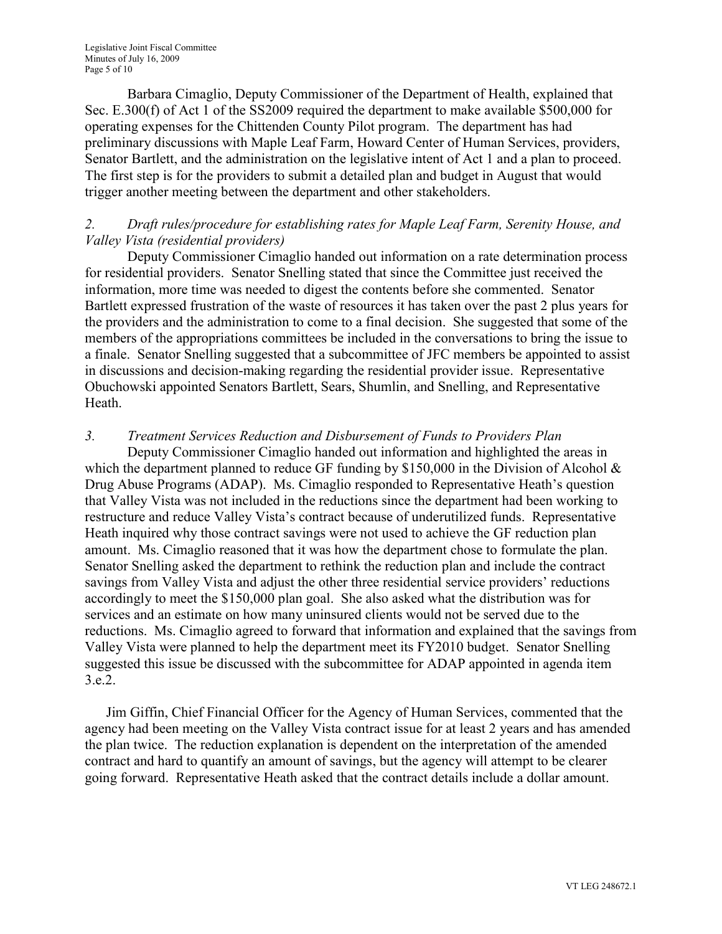Barbara Cimaglio, Deputy Commissioner of the Department of Health, explained that Sec. E.300(f) of Act 1 of the SS2009 required the department to make available \$500,000 for operating expenses for the Chittenden County Pilot program. The department has had preliminary discussions with Maple Leaf Farm, Howard Center of Human Services, providers, Senator Bartlett, and the administration on the legislative intent of Act 1 and a plan to proceed. The first step is for the providers to submit a detailed plan and budget in August that would trigger another meeting between the department and other stakeholders.

## *2. Draft rules/procedure for establishing rates for Maple Leaf Farm, Serenity House, and Valley Vista (residential providers)*

Deputy Commissioner Cimaglio handed out information on a rate determination process for residential providers. Senator Snelling stated that since the Committee just received the information, more time was needed to digest the contents before she commented. Senator Bartlett expressed frustration of the waste of resources it has taken over the past 2 plus years for the providers and the administration to come to a final decision. She suggested that some of the members of the appropriations committees be included in the conversations to bring the issue to a finale. Senator Snelling suggested that a subcommittee of JFC members be appointed to assist in discussions and decision-making regarding the residential provider issue. Representative Obuchowski appointed Senators Bartlett, Sears, Shumlin, and Snelling, and Representative Heath.

# *3. Treatment Services Reduction and Disbursement of Funds to Providers Plan*

Deputy Commissioner Cimaglio handed out information and highlighted the areas in which the department planned to reduce GF funding by \$150,000 in the Division of Alcohol  $\&$ Drug Abuse Programs (ADAP). Ms. Cimaglio responded to Representative Heath's question that Valley Vista was not included in the reductions since the department had been working to restructure and reduce Valley Vista's contract because of underutilized funds. Representative Heath inquired why those contract savings were not used to achieve the GF reduction plan amount. Ms. Cimaglio reasoned that it was how the department chose to formulate the plan. Senator Snelling asked the department to rethink the reduction plan and include the contract savings from Valley Vista and adjust the other three residential service providers' reductions accordingly to meet the \$150,000 plan goal. She also asked what the distribution was for services and an estimate on how many uninsured clients would not be served due to the reductions. Ms. Cimaglio agreed to forward that information and explained that the savings from Valley Vista were planned to help the department meet its FY2010 budget. Senator Snelling suggested this issue be discussed with the subcommittee for ADAP appointed in agenda item 3.e.2.

Jim Giffin, Chief Financial Officer for the Agency of Human Services, commented that the agency had been meeting on the Valley Vista contract issue for at least 2 years and has amended the plan twice. The reduction explanation is dependent on the interpretation of the amended contract and hard to quantify an amount of savings, but the agency will attempt to be clearer going forward. Representative Heath asked that the contract details include a dollar amount.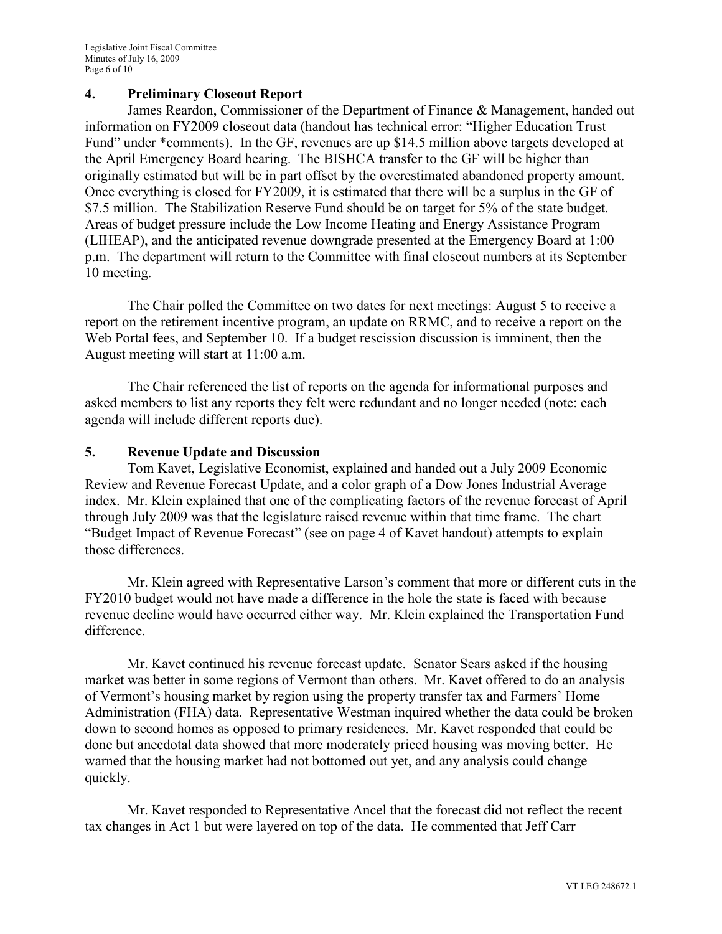#### **4. Preliminary Closeout Report**

James Reardon, Commissioner of the Department of Finance & Management, handed out information on FY2009 closeout data (handout has technical error: "Higher Education Trust Fund" under \*comments). In the GF, revenues are up \$14.5 million above targets developed at the April Emergency Board hearing. The BISHCA transfer to the GF will be higher than originally estimated but will be in part offset by the overestimated abandoned property amount. Once everything is closed for FY2009, it is estimated that there will be a surplus in the GF of \$7.5 million. The Stabilization Reserve Fund should be on target for 5% of the state budget. Areas of budget pressure include the Low Income Heating and Energy Assistance Program (LIHEAP), and the anticipated revenue downgrade presented at the Emergency Board at 1:00 p.m. The department will return to the Committee with final closeout numbers at its September 10 meeting.

The Chair polled the Committee on two dates for next meetings: August 5 to receive a report on the retirement incentive program, an update on RRMC, and to receive a report on the Web Portal fees, and September 10. If a budget rescission discussion is imminent, then the August meeting will start at 11:00 a.m.

The Chair referenced the list of reports on the agenda for informational purposes and asked members to list any reports they felt were redundant and no longer needed (note: each agenda will include different reports due).

#### **5. Revenue Update and Discussion**

Tom Kavet, Legislative Economist, explained and handed out a July 2009 Economic Review and Revenue Forecast Update, and a color graph of a Dow Jones Industrial Average index. Mr. Klein explained that one of the complicating factors of the revenue forecast of April through July 2009 was that the legislature raised revenue within that time frame. The chart "Budget Impact of Revenue Forecast" (see on page 4 of Kavet handout) attempts to explain those differences.

Mr. Klein agreed with Representative Larson's comment that more or different cuts in the FY2010 budget would not have made a difference in the hole the state is faced with because revenue decline would have occurred either way. Mr. Klein explained the Transportation Fund difference.

Mr. Kavet continued his revenue forecast update. Senator Sears asked if the housing market was better in some regions of Vermont than others. Mr. Kavet offered to do an analysis of Vermont's housing market by region using the property transfer tax and Farmers' Home Administration (FHA) data. Representative Westman inquired whether the data could be broken down to second homes as opposed to primary residences. Mr. Kavet responded that could be done but anecdotal data showed that more moderately priced housing was moving better. He warned that the housing market had not bottomed out yet, and any analysis could change quickly.

Mr. Kavet responded to Representative Ancel that the forecast did not reflect the recent tax changes in Act 1 but were layered on top of the data. He commented that Jeff Carr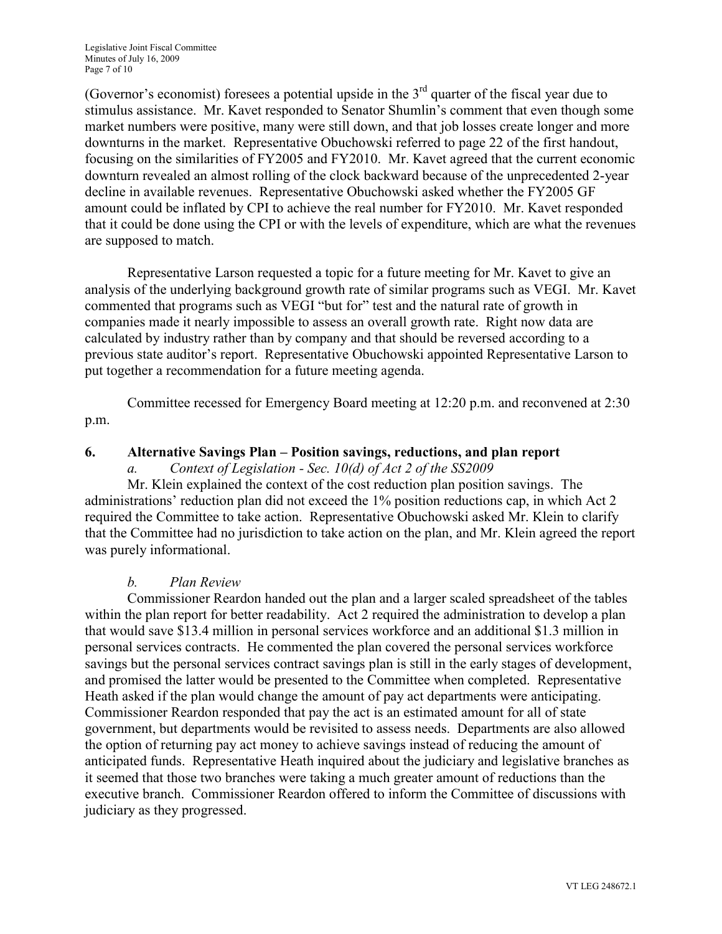(Governor's economist) foresees a potential upside in the  $3<sup>rd</sup>$  quarter of the fiscal year due to stimulus assistance. Mr. Kavet responded to Senator Shumlin's comment that even though some market numbers were positive, many were still down, and that job losses create longer and more downturns in the market. Representative Obuchowski referred to page 22 of the first handout, focusing on the similarities of FY2005 and FY2010. Mr. Kavet agreed that the current economic downturn revealed an almost rolling of the clock backward because of the unprecedented 2-year decline in available revenues. Representative Obuchowski asked whether the FY2005 GF amount could be inflated by CPI to achieve the real number for FY2010. Mr. Kavet responded that it could be done using the CPI or with the levels of expenditure, which are what the revenues are supposed to match.

Representative Larson requested a topic for a future meeting for Mr. Kavet to give an analysis of the underlying background growth rate of similar programs such as VEGI. Mr. Kavet commented that programs such as VEGI "but for" test and the natural rate of growth in companies made it nearly impossible to assess an overall growth rate. Right now data are calculated by industry rather than by company and that should be reversed according to a previous state auditor's report. Representative Obuchowski appointed Representative Larson to put together a recommendation for a future meeting agenda.

Committee recessed for Emergency Board meeting at 12:20 p.m. and reconvened at 2:30 p.m.

#### **6. Alternative Savings Plan – Position savings, reductions, and plan report**

#### *a. Context of Legislation - Sec. 10(d) of Act 2 of the SS2009*

Mr. Klein explained the context of the cost reduction plan position savings. The administrations' reduction plan did not exceed the 1% position reductions cap, in which Act 2 required the Committee to take action. Representative Obuchowski asked Mr. Klein to clarify that the Committee had no jurisdiction to take action on the plan, and Mr. Klein agreed the report was purely informational.

#### *b. Plan Review*

Commissioner Reardon handed out the plan and a larger scaled spreadsheet of the tables within the plan report for better readability. Act 2 required the administration to develop a plan that would save \$13.4 million in personal services workforce and an additional \$1.3 million in personal services contracts. He commented the plan covered the personal services workforce savings but the personal services contract savings plan is still in the early stages of development, and promised the latter would be presented to the Committee when completed. Representative Heath asked if the plan would change the amount of pay act departments were anticipating. Commissioner Reardon responded that pay the act is an estimated amount for all of state government, but departments would be revisited to assess needs. Departments are also allowed the option of returning pay act money to achieve savings instead of reducing the amount of anticipated funds. Representative Heath inquired about the judiciary and legislative branches as it seemed that those two branches were taking a much greater amount of reductions than the executive branch. Commissioner Reardon offered to inform the Committee of discussions with judiciary as they progressed.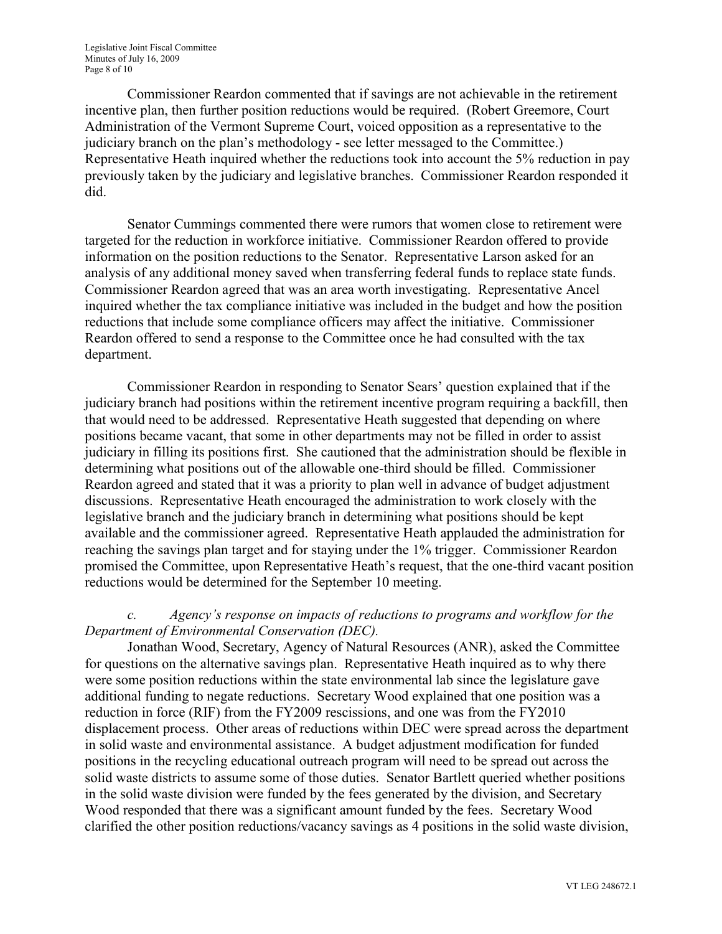Commissioner Reardon commented that if savings are not achievable in the retirement incentive plan, then further position reductions would be required. (Robert Greemore, Court Administration of the Vermont Supreme Court, voiced opposition as a representative to the judiciary branch on the plan's methodology - see letter messaged to the Committee.) Representative Heath inquired whether the reductions took into account the 5% reduction in pay previously taken by the judiciary and legislative branches. Commissioner Reardon responded it did.

Senator Cummings commented there were rumors that women close to retirement were targeted for the reduction in workforce initiative. Commissioner Reardon offered to provide information on the position reductions to the Senator. Representative Larson asked for an analysis of any additional money saved when transferring federal funds to replace state funds. Commissioner Reardon agreed that was an area worth investigating. Representative Ancel inquired whether the tax compliance initiative was included in the budget and how the position reductions that include some compliance officers may affect the initiative. Commissioner Reardon offered to send a response to the Committee once he had consulted with the tax department.

Commissioner Reardon in responding to Senator Sears' question explained that if the judiciary branch had positions within the retirement incentive program requiring a backfill, then that would need to be addressed. Representative Heath suggested that depending on where positions became vacant, that some in other departments may not be filled in order to assist judiciary in filling its positions first. She cautioned that the administration should be flexible in determining what positions out of the allowable one-third should be filled. Commissioner Reardon agreed and stated that it was a priority to plan well in advance of budget adjustment discussions. Representative Heath encouraged the administration to work closely with the legislative branch and the judiciary branch in determining what positions should be kept available and the commissioner agreed. Representative Heath applauded the administration for reaching the savings plan target and for staying under the 1% trigger. Commissioner Reardon promised the Committee, upon Representative Heath's request, that the one-third vacant position reductions would be determined for the September 10 meeting.

### *c. Agency's response on impacts of reductions to programs and workflow for the Department of Environmental Conservation (DEC).*

Jonathan Wood, Secretary, Agency of Natural Resources (ANR), asked the Committee for questions on the alternative savings plan. Representative Heath inquired as to why there were some position reductions within the state environmental lab since the legislature gave additional funding to negate reductions. Secretary Wood explained that one position was a reduction in force (RIF) from the FY2009 rescissions, and one was from the FY2010 displacement process. Other areas of reductions within DEC were spread across the department in solid waste and environmental assistance. A budget adjustment modification for funded positions in the recycling educational outreach program will need to be spread out across the solid waste districts to assume some of those duties. Senator Bartlett queried whether positions in the solid waste division were funded by the fees generated by the division, and Secretary Wood responded that there was a significant amount funded by the fees. Secretary Wood clarified the other position reductions/vacancy savings as 4 positions in the solid waste division,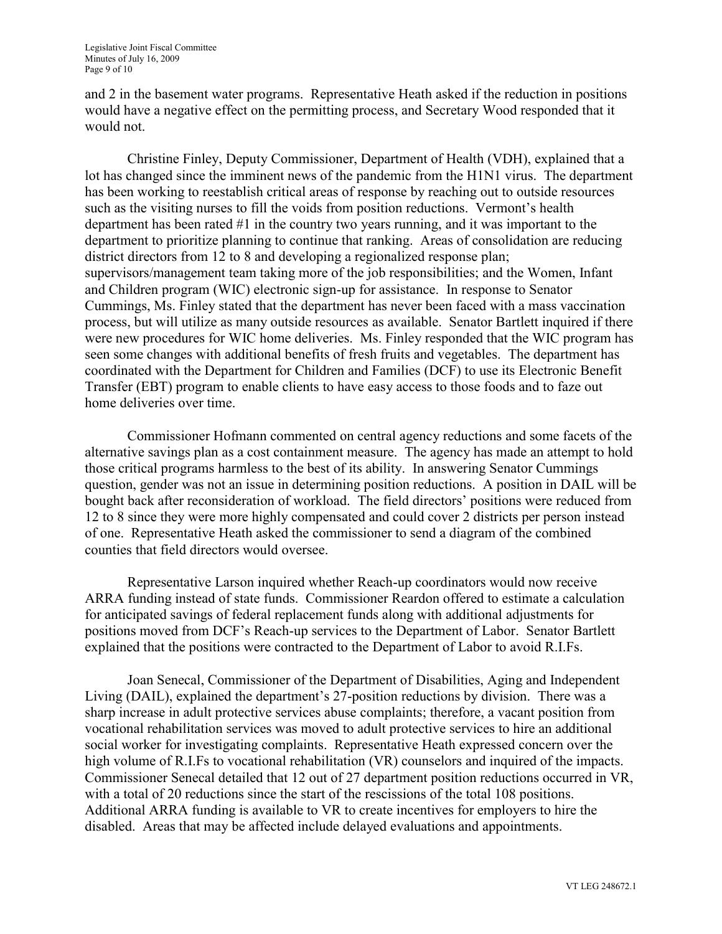and 2 in the basement water programs. Representative Heath asked if the reduction in positions would have a negative effect on the permitting process, and Secretary Wood responded that it would not.

Christine Finley, Deputy Commissioner, Department of Health (VDH), explained that a lot has changed since the imminent news of the pandemic from the H1N1 virus. The department has been working to reestablish critical areas of response by reaching out to outside resources such as the visiting nurses to fill the voids from position reductions. Vermont's health department has been rated #1 in the country two years running, and it was important to the department to prioritize planning to continue that ranking. Areas of consolidation are reducing district directors from 12 to 8 and developing a regionalized response plan; supervisors/management team taking more of the job responsibilities; and the Women, Infant and Children program (WIC) electronic sign-up for assistance. In response to Senator Cummings, Ms. Finley stated that the department has never been faced with a mass vaccination process, but will utilize as many outside resources as available. Senator Bartlett inquired if there were new procedures for WIC home deliveries. Ms. Finley responded that the WIC program has seen some changes with additional benefits of fresh fruits and vegetables. The department has coordinated with the Department for Children and Families (DCF) to use its Electronic Benefit Transfer (EBT) program to enable clients to have easy access to those foods and to faze out home deliveries over time.

Commissioner Hofmann commented on central agency reductions and some facets of the alternative savings plan as a cost containment measure. The agency has made an attempt to hold those critical programs harmless to the best of its ability. In answering Senator Cummings question, gender was not an issue in determining position reductions. A position in DAIL will be bought back after reconsideration of workload. The field directors' positions were reduced from 12 to 8 since they were more highly compensated and could cover 2 districts per person instead of one. Representative Heath asked the commissioner to send a diagram of the combined counties that field directors would oversee.

Representative Larson inquired whether Reach-up coordinators would now receive ARRA funding instead of state funds. Commissioner Reardon offered to estimate a calculation for anticipated savings of federal replacement funds along with additional adjustments for positions moved from DCF's Reach-up services to the Department of Labor. Senator Bartlett explained that the positions were contracted to the Department of Labor to avoid R.I.Fs.

Joan Senecal, Commissioner of the Department of Disabilities, Aging and Independent Living (DAIL), explained the department's 27-position reductions by division. There was a sharp increase in adult protective services abuse complaints; therefore, a vacant position from vocational rehabilitation services was moved to adult protective services to hire an additional social worker for investigating complaints. Representative Heath expressed concern over the high volume of R.I.Fs to vocational rehabilitation (VR) counselors and inquired of the impacts. Commissioner Senecal detailed that 12 out of 27 department position reductions occurred in VR, with a total of 20 reductions since the start of the rescissions of the total 108 positions. Additional ARRA funding is available to VR to create incentives for employers to hire the disabled. Areas that may be affected include delayed evaluations and appointments.